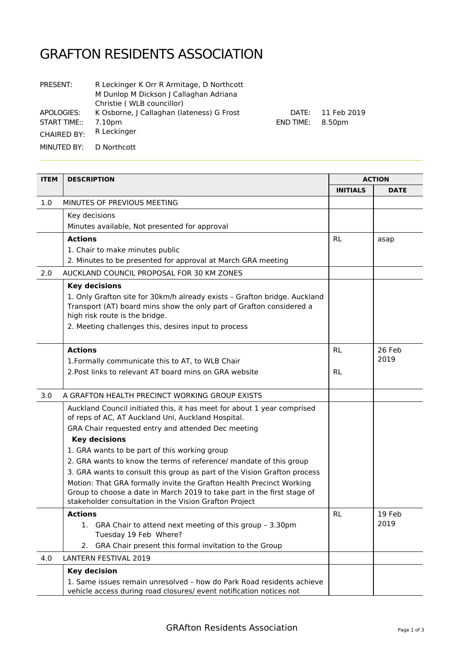## GRAFTON RESIDENTS ASSOCIATION

| <b>PRESENT:</b>    | R Leckinger K Orr R Armitage, D Northcott<br>M Dunlop M Dickson J Callaghan Adriana<br>Christie (WLB councillor) |
|--------------------|------------------------------------------------------------------------------------------------------------------|
| APOLOGIES:         | K Osborne, J Callaghan (lateness) G Frost                                                                        |
| START TIME::       | 7.10pm                                                                                                           |
| <b>CHAIRED BY:</b> | R Leckinger                                                                                                      |
| MINUTED BY:        | D Northcott                                                                                                      |

**ITEM DESCRIPTION ACTION INITIALS DATE** 1.0 MINUTES OF PREVIOUS MEETING Key decisions Minutes available, Not presented for approval **Actions**  1. Chair to make minutes public 2. Minutes to be presented for approval at March GRA meeting RL asap 2.0 AUCKLAND COUNCIL PROPOSAL FOR 30 KM ZONES **Key decisions** 1. Only Grafton site for 30km/h already exists – Grafton bridge. Auckland Transport (AT) board mins show the only part of Grafton considered a high risk route is the bridge. 2. Meeting challenges this, desires input to process **Actions** 1.Formally communicate this to AT, to WLB Chair 2.Post links to relevant AT board mins on GRA website RL RL 26 Feb 2019 3.0 A GRAFTON HEALTH PRECINCT WORKING GROUP EXISTS Auckland Council initiated this, it has meet for about 1 year comprised of reps of AC, AT Auckland Uni, Auckland Hospital. GRA Chair requested entry and attended Dec meeting **Key decisions** 1. GRA wants to be part of this working group 2. GRA wants to know the terms of reference/ mandate of this group 3. GRA wants to consult this group as part of the Vision Grafton process Motion: That GRA formally invite the Grafton Health Precinct Working Group to choose a date in March 2019 to take part in the first stage of stakeholder consultation in the Vision Grafton Project **Actions** 1. GRA Chair to attend next meeting of this group – 3.30pm Tuesday 19 Feb Where? 2. GRA Chair present this formal invitation to the Group RL 19 Feb 2019

DATE: 11 Feb 2019

END TIME: 8.50pm

| 4.0 | LANTERN FESTIVAL 2019                                                 |  |
|-----|-----------------------------------------------------------------------|--|
|     | Key decision                                                          |  |
|     | 1. Same issues remain unresolved - how do Park Road residents achieve |  |
|     | vehicle access during road closures/ event notification notices not   |  |

GRAfton Residents Association **Page 1 of 3** Page 1 of 3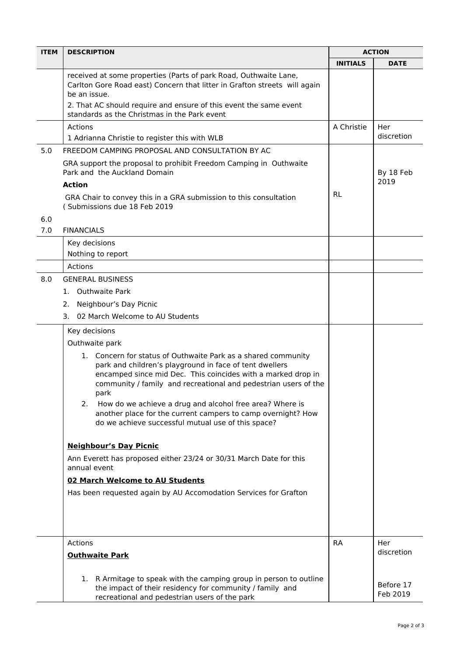| <b>ITEM</b> | <b>DESCRIPTION</b>                                                                                                                                                                                                                                                  |            | <b>ACTION</b>         |  |
|-------------|---------------------------------------------------------------------------------------------------------------------------------------------------------------------------------------------------------------------------------------------------------------------|------------|-----------------------|--|
|             |                                                                                                                                                                                                                                                                     |            | <b>DATE</b>           |  |
|             | received at some properties (Parts of park Road, Outhwaite Lane,<br>Carlton Gore Road east) Concern that litter in Grafton streets will again<br>be an issue.                                                                                                       |            |                       |  |
|             | 2. That AC should require and ensure of this event the same event<br>standards as the Christmas in the Park event                                                                                                                                                   |            |                       |  |
|             | Actions<br>1 Adrianna Christie to register this with WLB                                                                                                                                                                                                            | A Christie | Her<br>discretion     |  |
| 5.0         | FREEDOM CAMPING PROPOSAL AND CONSULTATION BY AC                                                                                                                                                                                                                     |            |                       |  |
|             | GRA support the proposal to prohibit Freedom Camping in Outhwaite<br>Park and the Auckland Domain                                                                                                                                                                   |            | By 18 Feb             |  |
|             | <b>Action</b>                                                                                                                                                                                                                                                       |            | 2019                  |  |
|             | GRA Chair to convey this in a GRA submission to this consultation<br>(Submissions due 18 Feb 2019                                                                                                                                                                   | <b>RL</b>  |                       |  |
| 6.0         |                                                                                                                                                                                                                                                                     |            |                       |  |
| 7.0         | <b>FINANCIALS</b>                                                                                                                                                                                                                                                   |            |                       |  |
|             | Key decisions<br>Nothing to report                                                                                                                                                                                                                                  |            |                       |  |
|             | Actions                                                                                                                                                                                                                                                             |            |                       |  |
| 8.0         | <b>GENERAL BUSINESS</b>                                                                                                                                                                                                                                             |            |                       |  |
|             | 1. Outhwaite Park                                                                                                                                                                                                                                                   |            |                       |  |
|             | Neighbour's Day Picnic<br>2.                                                                                                                                                                                                                                        |            |                       |  |
|             | 02 March Welcome to AU Students<br>3.                                                                                                                                                                                                                               |            |                       |  |
|             | Key decisions                                                                                                                                                                                                                                                       |            |                       |  |
|             | Outhwaite park                                                                                                                                                                                                                                                      |            |                       |  |
|             | 1. Concern for status of Outhwaite Park as a shared community<br>park and children's playground in face of tent dwellers<br>encamped since mid Dec. This coincides with a marked drop in<br>community / family and recreational and pedestrian users of the<br>park |            |                       |  |
|             | How do we achieve a drug and alcohol free area? Where is<br>2.<br>another place for the current campers to camp overnight? How<br>do we achieve successful mutual use of this space?                                                                                |            |                       |  |
|             | <b>Neighbour's Day Picnic</b>                                                                                                                                                                                                                                       |            |                       |  |
|             | Ann Everett has proposed either 23/24 or 30/31 March Date for this<br>annual event                                                                                                                                                                                  |            |                       |  |
|             | 02 March Welcome to AU Students                                                                                                                                                                                                                                     |            |                       |  |
|             | Has been requested again by AU Accomodation Services for Grafton                                                                                                                                                                                                    |            |                       |  |
|             | Actions                                                                                                                                                                                                                                                             | <b>RA</b>  | Her                   |  |
|             | <b>Outhwaite Park</b>                                                                                                                                                                                                                                               |            | discretion            |  |
|             | 1. R Armitage to speak with the camping group in person to outline<br>the impact of their residency for community / family and<br>recreational and pedestrian users of the park                                                                                     |            | Before 17<br>Feb 2019 |  |